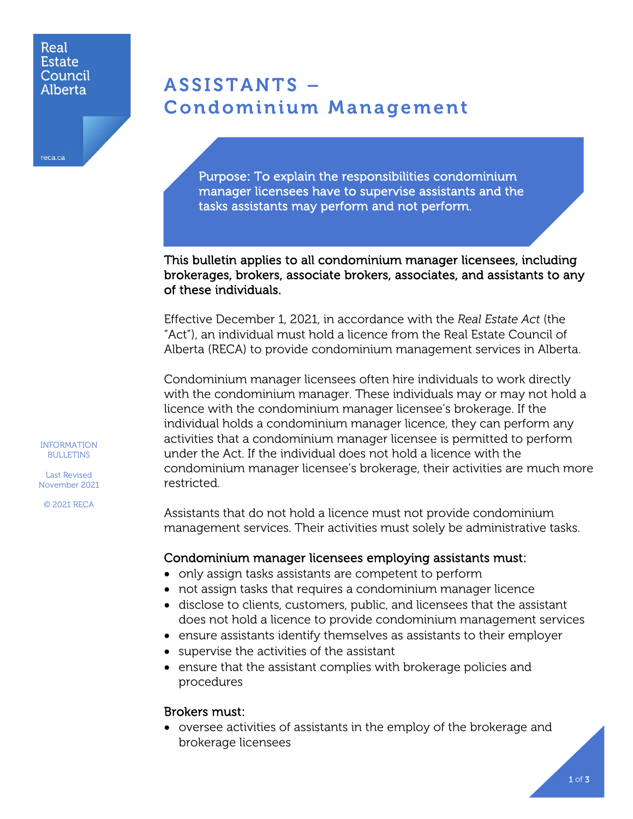#### Real **Estate** Council Alberta

reca.ca

# ASSISTANTS – Condominium Management

Purpose: To explain the responsibilities condominium manager licensees have to supervise assistants and the tasks assistants may perform and not perform.

This bulletin applies to all condominium manager licensees, including brokerages, brokers, associate brokers, associates, and assistants to any of these individuals.

Effective December 1, 2021, in accordance with the *Real Estate Act* (the "Act"), an individual must hold a licence from the Real Estate Council of Alberta (RECA) to provide condominium management services in Alberta.

Condominium manager licensees often hire individuals to work directly with the condominium manager. These individuals may or may not hold a licence with the condominium manager licensee's brokerage. If the individual holds a condominium manager licence, they can perform any activities that a condominium manager licensee is permitted to perform under the Act. If the individual does not hold a licence with the condominium manager licensee's brokerage, their activities are much more restricted.

Assistants that do not hold a licence must not provide condominium management services. Their activities must solely be administrative tasks.

#### Condominium manager licensees employing assistants must:

- only assign tasks assistants are competent to perform
- not assign tasks that requires a condominium manager licence
- disclose to clients, customers, public, and licensees that the assistant does not hold a licence to provide condominium management services
- ensure assistants identify themselves as assistants to their employer
- supervise the activities of the assistant
- ensure that the assistant complies with brokerage policies and procedures

#### Brokers must:

• oversee activities of assistants in the employ of the brokerage and brokerage licensees

INFORMATION BULLETINS

Last Revised November 2021

© 2021 RECA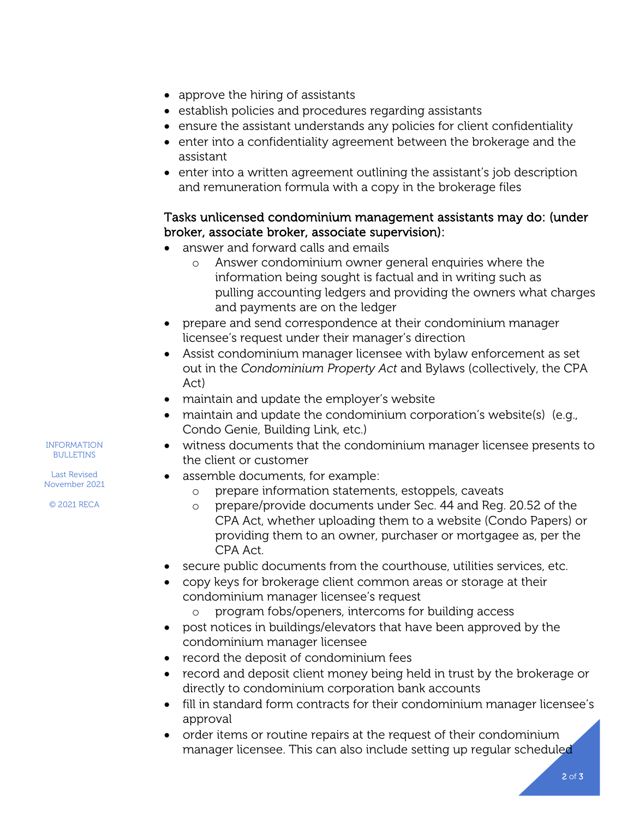- approve the hiring of assistants
- establish policies and procedures regarding assistants
- ensure the assistant understands any policies for client confidentiality
- enter into a confidentiality agreement between the brokerage and the assistant
- enter into a written agreement outlining the assistant's job description and remuneration formula with a copy in the brokerage files

### Tasks unlicensed condominium management assistants may do: (under broker, associate broker, associate supervision):

- answer and forward calls and emails
	- o Answer condominium owner general enquiries where the information being sought is factual and in writing such as pulling accounting ledgers and providing the owners what charges and payments are on the ledger
- prepare and send correspondence at their condominium manager licensee's request under their manager's direction
- Assist condominium manager licensee with bylaw enforcement as set out in the *Condominium Property Act* and Bylaws (collectively, the CPA Act)
- maintain and update the employer's website
- maintain and update the condominium corporation's website(s) (e.g., Condo Genie, Building Link, etc.)
- witness documents that the condominium manager licensee presents to the client or customer
- assemble documents, for example:
	- prepare information statements, estoppels, caveats
	- o prepare/provide documents under Sec. 44 and Reg. 20.52 of the CPA Act, whether uploading them to a website (Condo Papers) or providing them to an owner, purchaser or mortgagee as, per the CPA Act.
- secure public documents from the courthouse, utilities services, etc.
- copy keys for brokerage client common areas or storage at their condominium manager licensee's request
	- o program fobs/openers, intercoms for building access
- post notices in buildings/elevators that have been approved by the condominium manager licensee
- record the deposit of condominium fees
- record and deposit client money being held in trust by the brokerage or directly to condominium corporation bank accounts
- fill in standard form contracts for their condominium manager licensee's approval
- order items or routine repairs at the request of their condominium manager licensee. This can also include setting up regular scheduled

INFORMATION **BULLETINS** 

Last Revised November 2021 © 2021 RECA